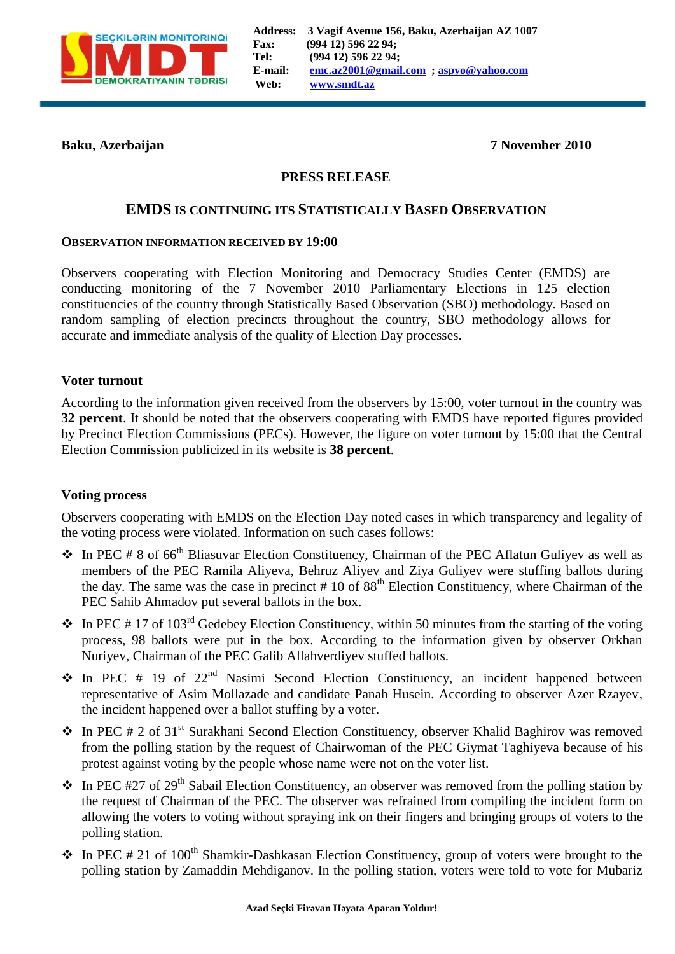

**Baku, Azerbaijan 7 November 2010**

## **PRESS RELEASE**

# **EMDS IS CONTINUING ITS STATISTICALLY BASED OBSERVATION**

#### **OBSERVATION INFORMATION RECEIVED BY 19:00**

Observers cooperating with Election Monitoring and Democracy Studies Center (EMDS) are conducting monitoring of the 7 November 2010 Parliamentary Elections in 125 election constituencies of the country through Statistically Based Observation (SBO) methodology. Based on random sampling of election precincts throughout the country, SBO methodology allows for accurate and immediate analysis of the quality of Election Day processes.

#### **Voter turnout**

According to the information given received from the observers by 15:00, voter turnout in the country was **32 percent**. It should be noted that the observers cooperating with EMDS have reported figures provided by Precinct Election Commissions (PECs). However, the figure on voter turnout by 15:00 that the Central Election Commission publicized in its website is **38 percent**.

#### **Voting process**

Observers cooperating with EMDS on the Election Day noted cases in which transparency and legality of the voting process were violated. Information on such cases follows:

- $\bullet$  In PEC # 8 of 66<sup>th</sup> Bliasuvar Election Constituency, Chairman of the PEC Aflatun Guliyev as well as members of the PEC Ramila Aliyeva, Behruz Aliyev and Ziya Guliyev were stuffing ballots during the day. The same was the case in precinct  $# 10$  of  $88<sup>th</sup>$  Election Constituency, where Chairman of the PEC Sahib Ahmadov put several ballots in the box.
- $\bullet$  In PEC # 17 of 103<sup>rd</sup> Gedebey Election Constituency, within 50 minutes from the starting of the voting process, 98 ballots were put in the box. According to the information given by observer Orkhan Nuriyev, Chairman of the PEC Galib Allahverdiyev stuffed ballots.
- $\div$  In PEC # 19 of 22<sup>nd</sup> Nasimi Second Election Constituency, an incident happened between representative of Asim Mollazade and candidate Panah Husein. According to observer Azer Rzayev, the incident happened over a ballot stuffing by a voter.
- $\bullet$  In PEC # 2 of 31<sup>st</sup> Surakhani Second Election Constituency, observer Khalid Baghirov was removed from the polling station by the request of Chairwoman of the PEC Giymat Taghiyeva because of his protest against voting by the people whose name were not on the voter list.
- $\bullet$  In PEC #27 of 29<sup>th</sup> Sabail Election Constituency, an observer was removed from the polling station by the request of Chairman of the PEC. The observer was refrained from compiling the incident form on allowing the voters to voting without spraying ink on their fingers and bringing groups of voters to the polling station.
- $\cdot$  In PEC # 21 of 100<sup>th</sup> Shamkir-Dashkasan Election Constituency, group of voters were brought to the polling station by Zamaddin Mehdiganov. In the polling station, voters were told to vote for Mubariz